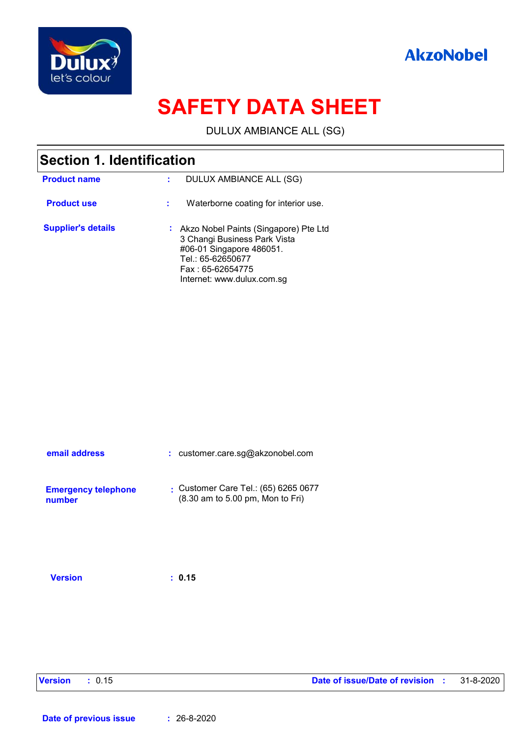



# **SAFETY DATA SHEET**

DULUX AMBIANCE ALL (SG)

| Section 1. Identification |                     |                                                                                                                                                                          |
|---------------------------|---------------------|--------------------------------------------------------------------------------------------------------------------------------------------------------------------------|
| <b>Product name</b>       | ÷.                  | DULUX AMBIANCE ALL (SG)                                                                                                                                                  |
| <b>Product use</b>        | $\blacksquare$<br>٠ | Waterborne coating for interior use.                                                                                                                                     |
| <b>Supplier's details</b> |                     | Akzo Nobel Paints (Singapore) Pte Ltd<br>3 Changi Business Park Vista<br>#06-01 Singapore 486051.<br>Tel.: 65-62650677<br>Fax: 65-62654775<br>Internet: www.dulux.com.sg |

| email address              | : customer.care.sg@akzonobel.com     |
|----------------------------|--------------------------------------|
| <b>Emergency telephone</b> | Customer Care Tel.: $(65)$ 6265 0677 |
| number                     | (8.30 am to 5.00 pm, Mon to Fri)     |

**Version : 0.15**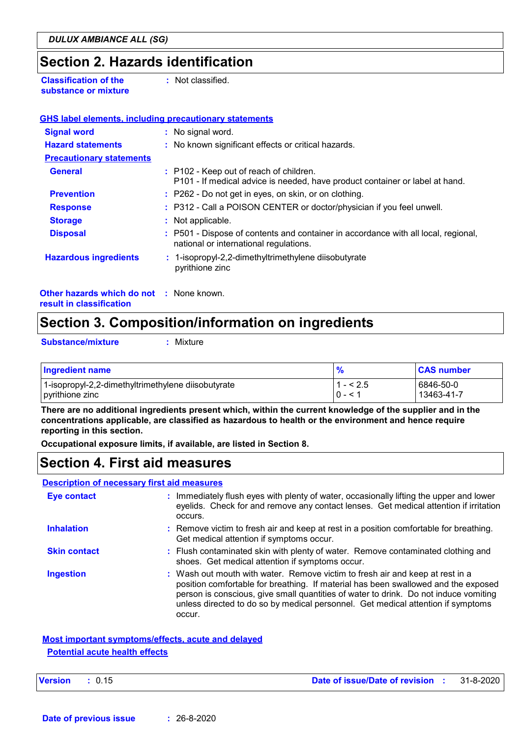## **Section 2. Hazards identification**

**Classification of the substance or mixture** **:** Not classified.

| <b>Signal word</b>                                                          | : No signal word.                                                                                                            |
|-----------------------------------------------------------------------------|------------------------------------------------------------------------------------------------------------------------------|
| <b>Hazard statements</b>                                                    | : No known significant effects or critical hazards.                                                                          |
| <b>Precautionary statements</b>                                             |                                                                                                                              |
| <b>General</b>                                                              | : P102 - Keep out of reach of children.<br>P101 - If medical advice is needed, have product container or label at hand.      |
| <b>Prevention</b>                                                           | : P262 - Do not get in eyes, on skin, or on clothing.                                                                        |
| <b>Response</b>                                                             | : P312 - Call a POISON CENTER or doctor/physician if you feel unwell.                                                        |
| <b>Storage</b>                                                              | : Not applicable.                                                                                                            |
| <b>Disposal</b>                                                             | : P501 - Dispose of contents and container in accordance with all local, regional,<br>national or international regulations. |
| <b>Hazardous ingredients</b>                                                | : 1-isopropyl-2,2-dimethyltrimethylene diisobutyrate<br>pyrithione zinc                                                      |
| <b>Other hazards which do not : None known.</b><br>result in classification |                                                                                                                              |

## **Section 3. Composition/information on ingredients**

**Substance/mixture :**

Mixture

| 6846-50-0<br>13463-41-7 |
|-------------------------|
|                         |

**There are no additional ingredients present which, within the current knowledge of the supplier and in the concentrations applicable, are classified as hazardous to health or the environment and hence require reporting in this section.**

**Occupational exposure limits, if available, are listed in Section 8.**

## **Section 4. First aid measures**

#### **Description of necessary first aid measures**

| <b>Eye contact</b>  | : Immediately flush eyes with plenty of water, occasionally lifting the upper and lower<br>eyelids. Check for and remove any contact lenses. Get medical attention if irritation<br>occurs.                                                                                                                                                               |
|---------------------|-----------------------------------------------------------------------------------------------------------------------------------------------------------------------------------------------------------------------------------------------------------------------------------------------------------------------------------------------------------|
| <b>Inhalation</b>   | : Remove victim to fresh air and keep at rest in a position comfortable for breathing.<br>Get medical attention if symptoms occur.                                                                                                                                                                                                                        |
| <b>Skin contact</b> | : Flush contaminated skin with plenty of water. Remove contaminated clothing and<br>shoes. Get medical attention if symptoms occur.                                                                                                                                                                                                                       |
| <b>Ingestion</b>    | : Wash out mouth with water. Remove victim to fresh air and keep at rest in a<br>position comfortable for breathing. If material has been swallowed and the exposed<br>person is conscious, give small quantities of water to drink. Do not induce vomiting<br>unless directed to do so by medical personnel. Get medical attention if symptoms<br>occur. |

#### **Most important symptoms/effects, acute and delayed Potential acute health effects**

| Version |  | 0.15 |
|---------|--|------|
|---------|--|------|

**Version :** 0.15 **Date of issue/Date of revision :** 31-8-2020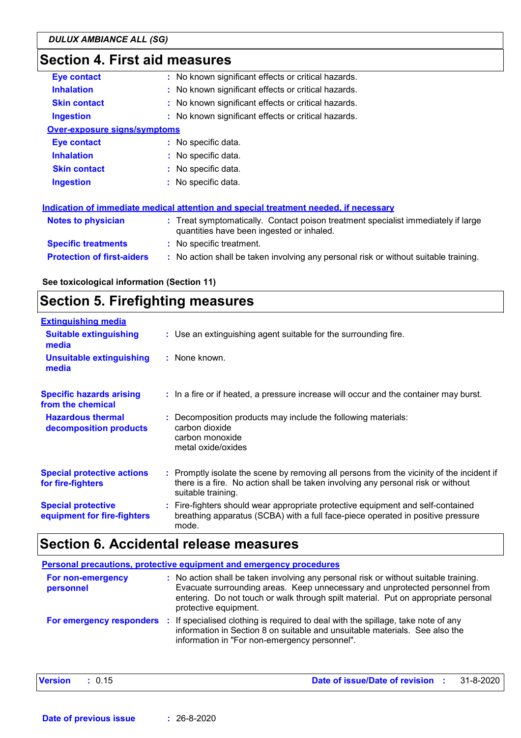## **Section 4. First aid measures**

| <b>Eye contact</b>                  | : No known significant effects or critical hazards.                                                                            |
|-------------------------------------|--------------------------------------------------------------------------------------------------------------------------------|
| <b>Inhalation</b>                   | : No known significant effects or critical hazards.                                                                            |
| <b>Skin contact</b>                 | : No known significant effects or critical hazards.                                                                            |
| <b>Ingestion</b>                    | : No known significant effects or critical hazards.                                                                            |
| <b>Over-exposure signs/symptoms</b> |                                                                                                                                |
| Eye contact                         | : No specific data.                                                                                                            |
| <b>Inhalation</b>                   | : No specific data.                                                                                                            |
| <b>Skin contact</b>                 | : No specific data.                                                                                                            |
| <b>Ingestion</b>                    | : No specific data.                                                                                                            |
|                                     |                                                                                                                                |
|                                     | Indication of immediate medical attention and special treatment needed, if necessary                                           |
| <b>Notes to physician</b>           | : Treat symptomatically. Contact poison treatment specialist immediately if large<br>quantities have been ingested or inhaled. |
| <b>Specific treatments</b>          | : No specific treatment.                                                                                                       |
| <b>Protection of first-aiders</b>   | : No action shall be taken involving any personal risk or without suitable training.                                           |
|                                     |                                                                                                                                |

**See toxicological information (Section 11)**

## **Section 5. Firefighting measures**

| <b>Extinguishing media</b><br><b>Suitable extinguishing</b><br>media<br><b>Unsuitable extinguishing</b><br>media | : Use an extinguishing agent suitable for the surrounding fire.<br>: None known.                                                                                                                    |
|------------------------------------------------------------------------------------------------------------------|-----------------------------------------------------------------------------------------------------------------------------------------------------------------------------------------------------|
| <b>Specific hazards arising</b><br>from the chemical                                                             | : In a fire or if heated, a pressure increase will occur and the container may burst.                                                                                                               |
| <b>Hazardous thermal</b><br>decomposition products                                                               | : Decomposition products may include the following materials:<br>carbon dioxide<br>carbon monoxide<br>metal oxide/oxides                                                                            |
| <b>Special protective actions</b><br>for fire-fighters                                                           | : Promptly isolate the scene by removing all persons from the vicinity of the incident if<br>there is a fire. No action shall be taken involving any personal risk or without<br>suitable training. |
| <b>Special protective</b><br>equipment for fire-fighters                                                         | : Fire-fighters should wear appropriate protective equipment and self-contained<br>breathing apparatus (SCBA) with a full face-piece operated in positive pressure<br>mode.                         |

## **Section 6. Accidental release measures**

|                                | <b>Personal precautions, protective equipment and emergency procedures</b>                                                                                                                                                                                                         |
|--------------------------------|------------------------------------------------------------------------------------------------------------------------------------------------------------------------------------------------------------------------------------------------------------------------------------|
| For non-emergency<br>personnel | : No action shall be taken involving any personal risk or without suitable training.<br>Evacuate surrounding areas. Keep unnecessary and unprotected personnel from<br>entering. Do not touch or walk through spilt material. Put on appropriate personal<br>protective equipment. |
| For emergency responders       | : If specialised clothing is required to deal with the spillage, take note of any<br>information in Section 8 on suitable and unsuitable materials. See also the<br>information in "For non-emergency personnel".                                                                  |

| 31-8-2020<br>Date of issue/Date of revision :<br><b>Version</b><br>0.15 |
|-------------------------------------------------------------------------|
|-------------------------------------------------------------------------|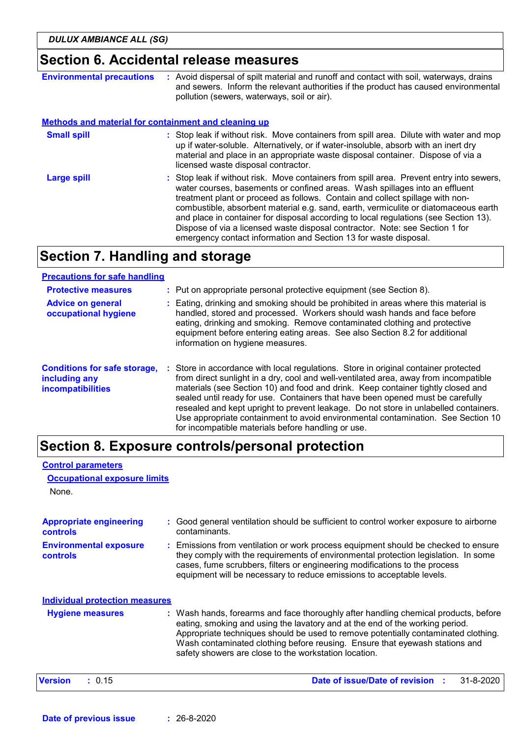### **Section 6. Accidental release measures**

| <b>Environmental precautions</b>                     | : Avoid dispersal of spilt material and runoff and contact with soil, waterways, drains<br>and sewers. Inform the relevant authorities if the product has caused environmental<br>pollution (sewers, waterways, soil or air).                                                                                                                                                                                                                                                                                                                                                               |
|------------------------------------------------------|---------------------------------------------------------------------------------------------------------------------------------------------------------------------------------------------------------------------------------------------------------------------------------------------------------------------------------------------------------------------------------------------------------------------------------------------------------------------------------------------------------------------------------------------------------------------------------------------|
| Methods and material for containment and cleaning up |                                                                                                                                                                                                                                                                                                                                                                                                                                                                                                                                                                                             |
| <b>Small spill</b>                                   | : Stop leak if without risk. Move containers from spill area. Dilute with water and mop<br>up if water-soluble. Alternatively, or if water-insoluble, absorb with an inert dry<br>material and place in an appropriate waste disposal container. Dispose of via a<br>licensed waste disposal contractor.                                                                                                                                                                                                                                                                                    |
| <b>Large spill</b>                                   | : Stop leak if without risk. Move containers from spill area. Prevent entry into sewers,<br>water courses, basements or confined areas. Wash spillages into an effluent<br>treatment plant or proceed as follows. Contain and collect spillage with non-<br>combustible, absorbent material e.g. sand, earth, vermiculite or diatomaceous earth<br>and place in container for disposal according to local regulations (see Section 13).<br>Dispose of via a licensed waste disposal contractor. Note: see Section 1 for<br>emergency contact information and Section 13 for waste disposal. |

## **Section 7. Handling and storage**

#### **Advice on general occupational hygiene Conditions for safe storage, : Store in accordance with local regulations. Store in original container protected including any incompatibilities** Eating, drinking and smoking should be prohibited in areas where this material is **:** handled, stored and processed. Workers should wash hands and face before eating, drinking and smoking. Remove contaminated clothing and protective equipment before entering eating areas. See also Section 8.2 for additional information on hygiene measures. from direct sunlight in a dry, cool and well-ventilated area, away from incompatible materials (see Section 10) and food and drink. Keep container tightly closed and sealed until ready for use. Containers that have been opened must be carefully resealed and kept upright to prevent leakage. Do not store in unlabelled containers. Use appropriate containment to avoid environmental contamination. See Section 10 for incompatible materials before handling or use. **Protective measures : Put on appropriate personal protective equipment (see Section 8). Precautions for safe handling**

## **Section 8. Exposure controls/personal protection**

#### None. **Environmental exposure controls :** Emissions from ventilation or work process equipment should be checked to ensure they comply with the requirements of environmental protection legislation. In some cases, fume scrubbers, filters or engineering modifications to the process equipment will be necessary to reduce emissions to acceptable levels. **Appropriate engineering controls :** Good general ventilation should be sufficient to control worker exposure to airborne contaminants. Wash hands, forearms and face thoroughly after handling chemical products, before eating, smoking and using the lavatory and at the end of the working period. Appropriate techniques should be used to remove potentially contaminated clothing. Wash contaminated clothing before reusing. Ensure that eyewash stations and safety showers are close to the workstation location. **Hygiene measures : Control parameters Individual protection measures Occupational exposure limits Version :** 0.15 **Date of issue/Date of revision :** 31-8-2020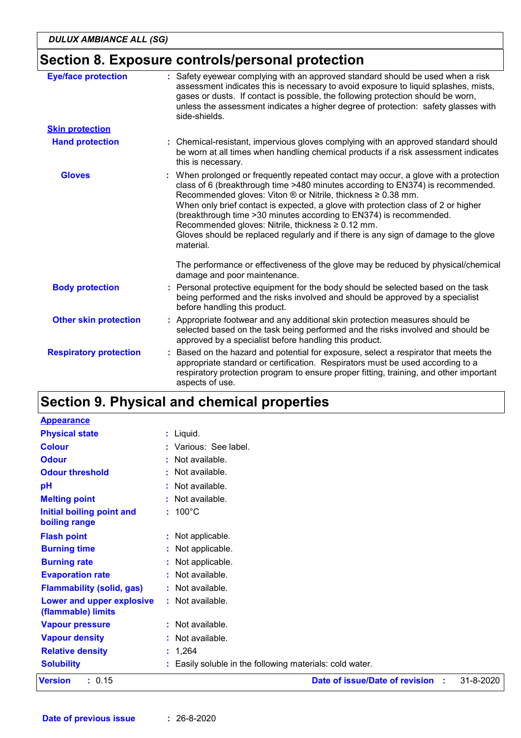## **Section 8. Exposure controls/personal protection**

| <b>Eye/face protection</b>    | : Safety eyewear complying with an approved standard should be used when a risk<br>assessment indicates this is necessary to avoid exposure to liquid splashes, mists,<br>gases or dusts. If contact is possible, the following protection should be worn,<br>unless the assessment indicates a higher degree of protection: safety glasses with<br>side-shields.                                                                                                                                                                                                             |
|-------------------------------|-------------------------------------------------------------------------------------------------------------------------------------------------------------------------------------------------------------------------------------------------------------------------------------------------------------------------------------------------------------------------------------------------------------------------------------------------------------------------------------------------------------------------------------------------------------------------------|
| <b>Skin protection</b>        |                                                                                                                                                                                                                                                                                                                                                                                                                                                                                                                                                                               |
| <b>Hand protection</b>        | : Chemical-resistant, impervious gloves complying with an approved standard should<br>be worn at all times when handling chemical products if a risk assessment indicates<br>this is necessary.                                                                                                                                                                                                                                                                                                                                                                               |
| <b>Gloves</b>                 | When prolonged or frequently repeated contact may occur, a glove with a protection<br>class of 6 (breakthrough time >480 minutes according to EN374) is recommended.<br>Recommended gloves: Viton $\circledR$ or Nitrile, thickness $\geq 0.38$ mm.<br>When only brief contact is expected, a glove with protection class of 2 or higher<br>(breakthrough time > 30 minutes according to EN374) is recommended.<br>Recommended gloves: Nitrile, thickness $\geq 0.12$ mm.<br>Gloves should be replaced regularly and if there is any sign of damage to the glove<br>material. |
|                               | The performance or effectiveness of the glove may be reduced by physical/chemical<br>damage and poor maintenance.                                                                                                                                                                                                                                                                                                                                                                                                                                                             |
| <b>Body protection</b>        | Personal protective equipment for the body should be selected based on the task<br>being performed and the risks involved and should be approved by a specialist<br>before handling this product.                                                                                                                                                                                                                                                                                                                                                                             |
| <b>Other skin protection</b>  | Appropriate footwear and any additional skin protection measures should be<br>selected based on the task being performed and the risks involved and should be<br>approved by a specialist before handling this product.                                                                                                                                                                                                                                                                                                                                                       |
| <b>Respiratory protection</b> | Based on the hazard and potential for exposure, select a respirator that meets the<br>appropriate standard or certification. Respirators must be used according to a<br>respiratory protection program to ensure proper fitting, training, and other important<br>aspects of use.                                                                                                                                                                                                                                                                                             |

## **Section 9. Physical and chemical properties**

| <b>Appearance</b>                                 |                                                        |
|---------------------------------------------------|--------------------------------------------------------|
| <b>Physical state</b>                             | : Liquid.                                              |
| <b>Colour</b>                                     | : Various: See label.                                  |
| <b>Odour</b>                                      | : Not available.                                       |
| <b>Odour threshold</b>                            | : Not available.                                       |
| pH                                                | Not available.                                         |
| <b>Melting point</b>                              | : Not available.                                       |
| <b>Initial boiling point and</b><br>boiling range | $: 100^{\circ}$ C                                      |
| <b>Flash point</b>                                | : Not applicable.                                      |
| <b>Burning time</b>                               | : Not applicable.                                      |
| <b>Burning rate</b>                               | : Not applicable.                                      |
| <b>Evaporation rate</b>                           | Not available.                                         |
| <b>Flammability (solid, gas)</b>                  | : Not available.                                       |
| Lower and upper explosive<br>(flammable) limits   | : Not available.                                       |
| <b>Vapour pressure</b>                            | : Not available.                                       |
| <b>Vapour density</b>                             | : Not available.                                       |
| <b>Relative density</b>                           | : 1,264                                                |
| <b>Solubility</b>                                 | Easily soluble in the following materials: cold water. |
| : 0.15<br><b>Version</b>                          | Date of issue/Date of revision :<br>31-8-2020          |
|                                                   |                                                        |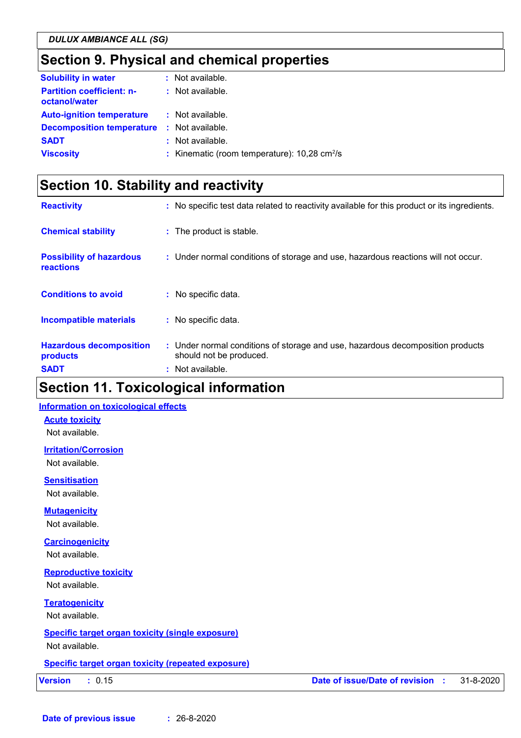## **Section 9. Physical and chemical properties**

| <b>Solubility in water</b>                        | : Not available.                                           |
|---------------------------------------------------|------------------------------------------------------------|
| <b>Partition coefficient: n-</b><br>octanol/water | $:$ Not available.                                         |
| <b>Auto-ignition temperature</b>                  | : Not available.                                           |
| <b>Decomposition temperature</b>                  | : Not available.                                           |
| <b>SADT</b>                                       | : Not available.                                           |
| <b>Viscosity</b>                                  | : Kinematic (room temperature): $10,28$ cm <sup>2</sup> /s |
|                                                   |                                                            |

## **Section 10. Stability and reactivity**

| <b>Reactivity</b>                                   | : No specific test data related to reactivity available for this product or its ingredients.              |
|-----------------------------------------------------|-----------------------------------------------------------------------------------------------------------|
| <b>Chemical stability</b>                           | : The product is stable.                                                                                  |
| <b>Possibility of hazardous</b><br><b>reactions</b> | : Under normal conditions of storage and use, hazardous reactions will not occur.                         |
| <b>Conditions to avoid</b>                          | : No specific data.                                                                                       |
| <b>Incompatible materials</b>                       | : No specific data.                                                                                       |
| <b>Hazardous decomposition</b><br>products          | : Under normal conditions of storage and use, hazardous decomposition products<br>should not be produced. |
| <b>SADT</b>                                         | : Not available.                                                                                          |

## **Section 11. Toxicological information**

#### **Information on toxicological effects**

#### **Acute toxicity**

Not available.

#### **Irritation/Corrosion**

Not available.

#### **Sensitisation**

Not available.

#### **Mutagenicity**

Not available.

#### **Carcinogenicity**

Not available.

#### **Reproductive toxicity**

Not available.

#### **Teratogenicity**

Not available.

#### **Specific target organ toxicity (single exposure)**

Not available.

#### **Specific target organ toxicity (repeated exposure)**

**Version :** 0.15 **Date of issue/Date of revision :** 31-8-2020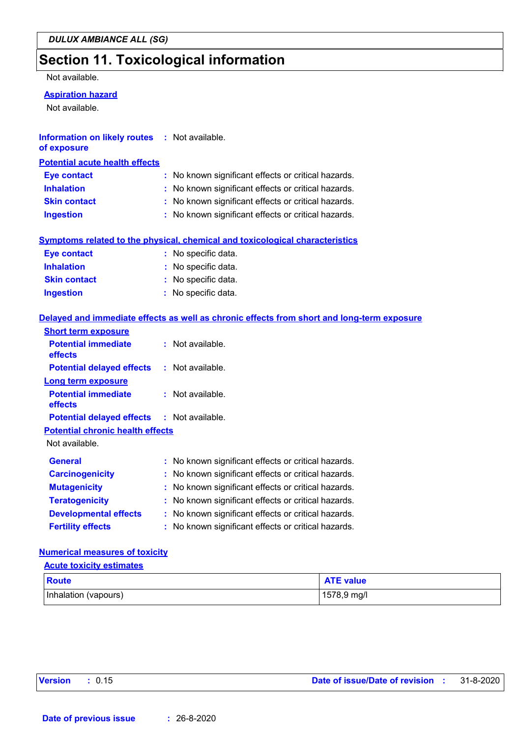## **Section 11. Toxicological information**

Not available.

#### **Aspiration hazard**

Not available.

| <b>Information on likely routes : Not available.</b><br>of exposure |                                                     |
|---------------------------------------------------------------------|-----------------------------------------------------|
| <b>Potential acute health effects</b>                               |                                                     |
| <b>Eye contact</b>                                                  | : No known significant effects or critical hazards. |
| <b>Inhalation</b>                                                   | : No known significant effects or critical hazards. |
| <b>Skin contact</b>                                                 | : No known significant effects or critical hazards. |
| <b>Ingestion</b>                                                    | : No known significant effects or critical hazards. |

|--|

| <b>Eye contact</b>  | : No specific data. |
|---------------------|---------------------|
| <b>Inhalation</b>   | : No specific data. |
| <b>Skin contact</b> | : No specific data. |
| <b>Ingestion</b>    | : No specific data. |

#### **Delayed and immediate effects as well as chronic effects from short and long-term exposure**

| <b>Short term exposure</b>                        |                                                     |  |  |
|---------------------------------------------------|-----------------------------------------------------|--|--|
| <b>Potential immediate</b><br>effects             | $:$ Not available.                                  |  |  |
| <b>Potential delayed effects</b>                  | $:$ Not available.                                  |  |  |
| <b>Long term exposure</b>                         |                                                     |  |  |
| <b>Potential immediate</b><br>effects             | $:$ Not available.                                  |  |  |
| <b>Potential delayed effects : Not available.</b> |                                                     |  |  |
| <b>Potential chronic health effects</b>           |                                                     |  |  |
| Not available.                                    |                                                     |  |  |
| <b>General</b>                                    | : No known significant effects or critical hazards. |  |  |
| <b>Carcinogenicity</b>                            | : No known significant effects or critical hazards. |  |  |
| <b>Mutagenicity</b>                               | : No known significant effects or critical hazards. |  |  |
| <b>Teratogenicity</b>                             | No known significant effects or critical hazards.   |  |  |
| <b>Developmental effects</b>                      | : No known significant effects or critical hazards. |  |  |
| <b>Fertility effects</b>                          | : No known significant effects or critical hazards. |  |  |

#### **Numerical measures of toxicity**

#### **Acute toxicity estimates**

| <b>Route</b>         | <b>ATE value</b> |
|----------------------|------------------|
| Inhalation (vapours) | 1578,9 mg/l      |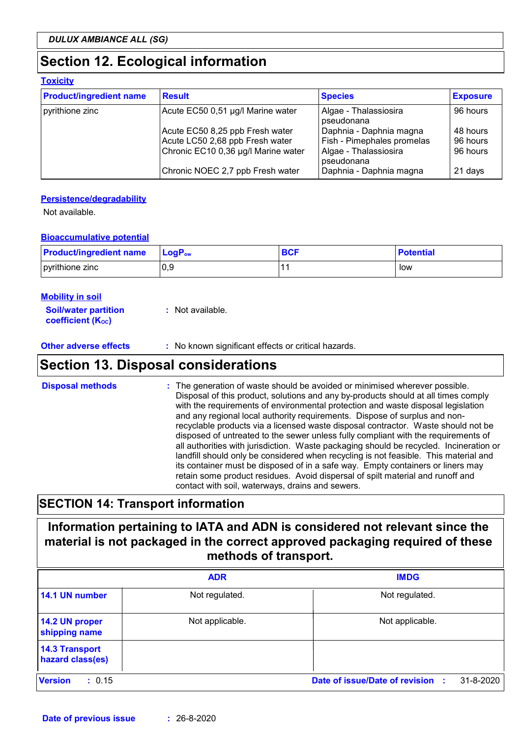## **Section 12. Ecological information**

#### **Toxicity**

| <b>Product/ingredient name</b> | <b>Result</b>                       | <b>Species</b>                      | <b>Exposure</b> |
|--------------------------------|-------------------------------------|-------------------------------------|-----------------|
| pyrithione zinc                | Acute EC50 0,51 µg/l Marine water   | Algae - Thalassiosira<br>pseudonana | 96 hours        |
|                                | Acute EC50 8,25 ppb Fresh water     | Daphnia - Daphnia magna             | 48 hours        |
|                                | Acute LC50 2,68 ppb Fresh water     | Fish - Pimephales promelas          | 96 hours        |
|                                | Chronic EC10 0,36 µg/l Marine water | Algae - Thalassiosira<br>pseudonana | 96 hours        |
|                                | Chronic NOEC 2,7 ppb Fresh water    | Daphnia - Daphnia magna             | 21 days         |

#### **Persistence/degradability**

Not available.

#### **Bioaccumulative potential**

| <b>Product/ingredient name</b> | ∣LoqP <sub>ow</sub> | <b>BCF</b> | <b>Potential</b> |
|--------------------------------|---------------------|------------|------------------|
| pyrithione zinc                | 0,9                 |            | low              |

| <b>Mobility in soil</b>     |                  |
|-----------------------------|------------------|
| <b>Soil/water partition</b> | : Not available. |
| <b>coefficient (Koc)</b>    |                  |

**Other adverse effects** : No known significant effects or critical hazards.

### **Section 13. Disposal considerations**

**Disposal methods** : The generation of waste should be avoided or minimised wherever possible. Disposal of this product, solutions and any by-products should at all times comply with the requirements of environmental protection and waste disposal legislation and any regional local authority requirements. Dispose of surplus and nonrecyclable products via a licensed waste disposal contractor. Waste should not be disposed of untreated to the sewer unless fully compliant with the requirements of all authorities with jurisdiction. Waste packaging should be recycled. Incineration or landfill should only be considered when recycling is not feasible. This material and its container must be disposed of in a safe way. Empty containers or liners may retain some product residues. Avoid dispersal of spilt material and runoff and contact with soil, waterways, drains and sewers.

### **SECTION 14: Transport information**

**Information pertaining to IATA and ADN is considered not relevant since the material is not packaged in the correct approved packaging required of these methods of transport.**

|                                           | <b>ADR</b>      | <b>IMDG</b>                                   |
|-------------------------------------------|-----------------|-----------------------------------------------|
| 14.1 UN number                            | Not regulated.  | Not regulated.                                |
| 14.2 UN proper<br>shipping name           | Not applicable. | Not applicable.                               |
| <b>14.3 Transport</b><br>hazard class(es) |                 |                                               |
| <b>Version</b><br>: 0.15                  |                 | Date of issue/Date of revision :<br>31-8-2020 |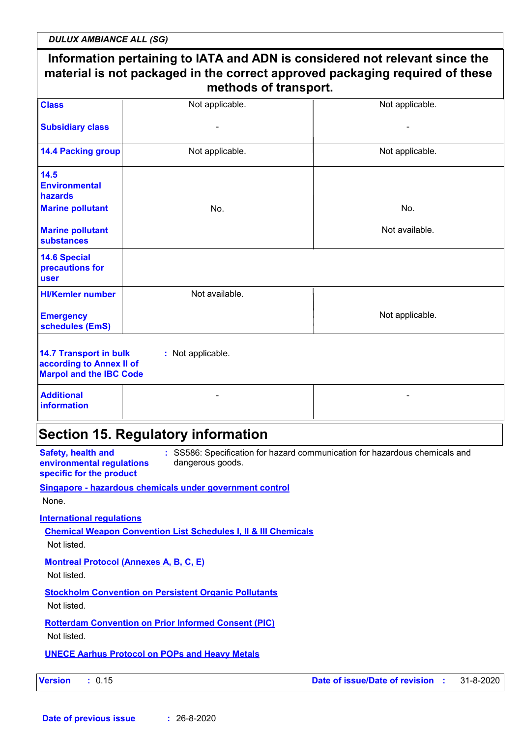| <b>DULUX AMBIANCE ALL (SG)</b> |
|--------------------------------|
|--------------------------------|

#### **Information pertaining to IATA and ADN is considered not relevant since the material is not packaged in the correct approved packaging required of these methods of transport.** Not applicable. Not applicable. Not applicable. Not applicable. Not available. Not applicable. **14.4 Packing group HI/Kemler number 14.5 Environmental hazards 14.6 Special precautions for user 14.7 Transport in bulk according to Annex II of Marpol and the IBC Code :** Not applicable. **Emergency schedules (EmS) Class Subsidiary class discussed by the set of the set of the set of the set of the set of the set of the set of the set of the set of the set of the set of the set of the set of the set of the set of the set of the set of the Marine pollutant Marine pollutant substances** No. Not available. **Additional information** - Harrison and the second control of the second control of the second control of the second control of the second No. **Section 15. Regulatory information Singapore - hazardous chemicals under government control** None. **International regulations Montreal Protocol (Annexes A, B, C, E)** Not listed. **Stockholm Convention on Persistent Organic Pollutants** Not listed. **Rotterdam Convention on Prior Informed Consent (PIC)** Not listed. **Chemical Weapon Convention List Schedules I, II & III Chemicals** Not listed. **UNECE Aarhus Protocol on POPs and Heavy Metals Safety, health and environmental regulations specific for the product :** SS586: Specification for hazard communication for hazardous chemicals and dangerous goods.

**Version :** 0.15 **Date of issue/Date of revision :** 31-8-2020